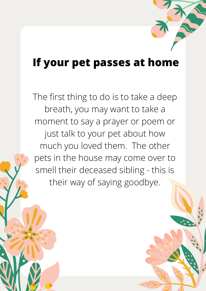## **If your pet passes at home**

The first thing to do is to take a deep breath, you may want to take a moment to say a prayer or poem or just talk to your pet about how much you loved them. The other pets in the house may come over to smell their deceased sibling - this is their way of saying goodbye.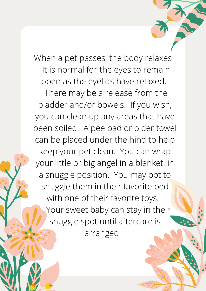When a pet passes, the body relaxes. It is normal for the eyes to remain open as the eyelids have relaxed.

There may be a release from the bladder and/or bowels. If you wish, you can clean up any areas that have been soiled. A pee pad or older towel can be placed under the hind to help keep your pet clean. You can wrap your little or big angel in a blanket, in a snuggle position. You may opt to snuggle them in their favorite bed with one of their favorite toys. Your sweet baby can stay in their snuggle spot until aftercare is arranged.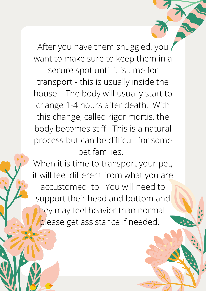After you have them snuggled, you want to make sure to keep them in a secure spot until it is time for transport - this is usually inside the house. The body will usually start to change 1-4 hours after death. With this change, called rigor mortis, the body becomes stiff. This is a natural process but can be difficult for some pet families.

When it is time to transport your pet, it will feel different from what you are accustomed to. You will need to support their head and bottom and they may feel heavier than normal please get assistance if needed.